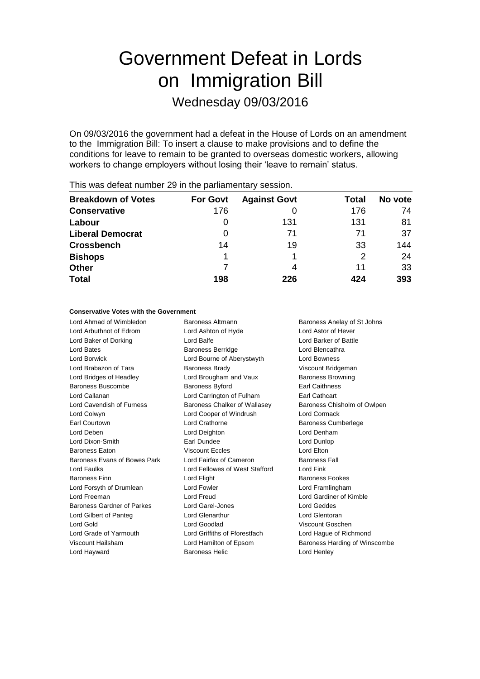# Government Defeat in Lords on Immigration Bill

Wednesday 09/03/2016

On 09/03/2016 the government had a defeat in the House of Lords on an amendment to the Immigration Bill: To insert a clause to make provisions and to define the conditions for leave to remain to be granted to overseas domestic workers, allowing workers to change employers without losing their 'leave to remain' status.

|                           |                 | -                   |       |         |
|---------------------------|-----------------|---------------------|-------|---------|
| <b>Breakdown of Votes</b> | <b>For Govt</b> | <b>Against Govt</b> | Total | No vote |
| <b>Conservative</b>       | 176             |                     | 176   | 74      |
| Labour                    | O               | 131                 | 131   | 81      |
| <b>Liberal Democrat</b>   | O               | 71                  | 71    | 37      |
| <b>Crossbench</b>         | 14              | 19                  | 33    | 144     |
| <b>Bishops</b>            |                 |                     | 2     | 24      |
| <b>Other</b>              |                 | 4                   | 11    | 33      |
| <b>Total</b>              | 198             | 226                 | 424   | 393     |
|                           |                 |                     |       |         |

This was defeat number 29 in the parliamentary session.

### **Conservative Votes with the Government**

Lord Ahmad of Wimbledon Baroness Altmann Baroness Anelay of St Johns Lord Arbuthnot of Edrom Lord Ashton of Hyde Lord Astor of Hever Lord Baker of Dorking **Lord Balfe** Lord Balfe **Lord Banker of Battle** Lord Bates **Baroness Berridge Lord Blencathra** Lord Borwick Lord Bourne of Aberystwyth Lord Bowness Lord Brabazon of Tara **Baroness Brady Baroness Brady** Viscount Bridgeman Lord Bridges of Headley **Lord Brougham and Vaux** Baroness Browning Baroness Buscombe **Baroness Byford** Earl Caithness Lord Callanan Lord Carrington of Fulham Earl Cathcart Lord Cavendish of Furness Baroness Chalker of Wallasey Baroness Chisholm of Owlpen Lord Colwyn Lord Cooper of Windrush Lord Cormack Earl Courtown **Lord Crathorne Lord Crathorne Baroness Cumberlege** Lord Deben Lord Deighton Lord Denham Lord Dixon-Smith Earl Dundee Lord Dunlop Baroness Eaton Viscount Eccles Lord Elton Baroness Evans of Bowes Park Lord Fairfax of Cameron Baroness Fall Lord Faulks Lord Fellowes of West Stafford Lord Fink **Baroness Finn Baroness Fookes Lord Flight Baroness Fookes Baroness Fookes** Lord Forsyth of Drumlean Lord Fowler Lord Forsyth of Drumlean Lord Framlingham Lord Freeman Lord Freud Lord Gardiner of Kimble Baroness Gardner of Parkes Lord Garel-Jones Controller Lord Geddes Lord Gilbert of Panteg Lord Glenarthur Lord Glentoran Lord Gold Lord Goodlad Viscount Goschen Lord Grade of Yarmouth Lord Griffiths of Fforestfach Lord Hague of Richmond Viscount Hailsham Lord Hamilton of Epsom Baroness Harding of Winscombe Lord Hayward Baroness Helic Lord Henley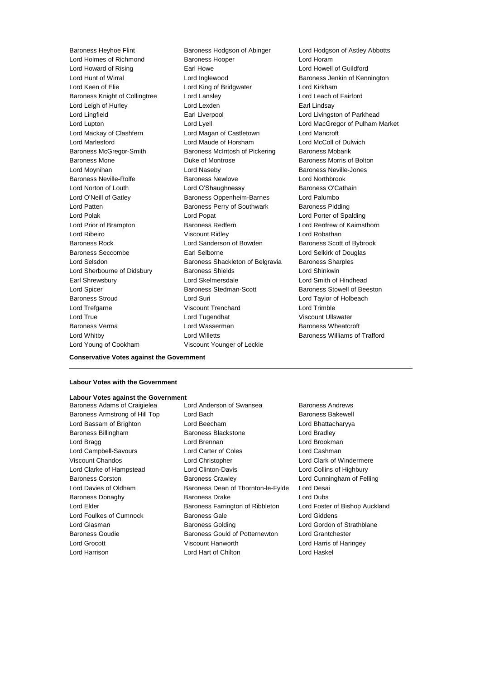Lord Holmes of Richmond Baroness Hooper Cord Horam Lord Howard of Rising Earl Howe Lord Howell of Guildford Lord Hunt of Wirral Lord Inglewood Baroness Jenkin of Kennington Lord Keen of Elie **Lord King of Bridgwater** Lord Kirkham Baroness Knight of Collingtree Lord Lansley<br>
Lord Leach of Hurley Lord Leach Cord Lexden<br>
Lord Learl Lindsay<br>
Lord Learl Lindsay Lord Leigh of Hurley **Lord Lexden** Lord Lingfield **Earl Liverpool** Earl Liverpool **Lord Livingston of Parkhead** Lord Lupton Lord Lyell Lord MacGregor of Pulham Market Lord Mackay of Clashfern Lord Magan of Castletown Lord Mancroft Lord Marlesford Lord Maude of Horsham Lord McColl of Dulwich Baroness McGregor-Smith Baroness McIntosh of Pickering Baroness Mobarik Baroness Mone **Baroness Mone Duke of Montrose Baroness Morris of Bolton** Lord Moynihan Lord Naseby Baroness Neville-Jones Baroness Neville-Rolfe Baroness Newlove Lord Northbrook Lord Norton of Louth **Lord O'Shaughnessy** Baroness O'Cathain Lord O'Neill of Gatley Baroness Oppenheim-Barnes Lord Palumbo Lord Patten **Baroness Perry of Southwark** Baroness Pidding Lord Polak Lord Popat Lord Popat Lord Polak Lord Polak Lord Polak Lord Porter of Spalding<br>
Lord Prior of Brampton Baroness Redfern Lord Renfrew of Kaimst Lord Ribeiro Viscount Ridley Lord Robathan Baroness Rock Lord Sanderson of Bowden Baroness Scott of Bybrook Baroness Seccombe **Earl Selborne Earl Selborne Lord Selkirk of Douglas** Lord Selsdon Baroness Shackleton of Belgravia Baroness Sharples Lord Sherbourne of Didsbury Baroness Shields Lord Shinkwin Earl Shrewsbury Lord Skelmersdale Lord Smith of Hindhead Lord Spicer **Baroness Stedman-Scott** Baroness Stowell of Beeston Baroness Stroud Lord Suri Lord Taylor of Holbeach Lord Trefgarne Viscount Trenchard Lord Trimble Lord True Lord Tugendhat Viscount Ullswater Baroness Verma Lord Wasserman Baroness Wheatcroft Lord Whitby Lord Willetts Baroness Williams of Trafford Lord Young of Cookham Viscount Younger of Leckie

Baroness Heyhoe Flint Baroness Hodgson of Abinger Lord Hodgson of Astley Abbotts Baroness Redfern **Baroness Redfern** Lord Renfrew of Kaimsthorn

**Conservative Votes against the Government**

### **Labour Votes with the Government**

# **Labour Votes against the Government**

Baroness Adams of Craigielea Lord Anderson of Swansea Baroness Andrews Baroness Armstrong of Hill Top Lord Bach Baroness Bakewell Lord Bassam of Brighton Lord Beecham Lord Bhattacharyya Baroness Billingham Baroness Blackstone Lord Bradley Lord Bragg **Lord Brennan** Lord Brennan **Lord Brookman** Lord Campbell-Savours Lord Carter of Coles Lord Cashman Viscount Chandos Lord Christopher Lord Clark of Windermere Lord Clarke of Hampstead Lord Clinton-Davis Lord Collins of Highbury Baroness Corston **Baroness Crawley Lord Cunningham of Felling** Lord Davies of Oldham Baroness Dean of Thornton-le-Fylde Lord Desai Baroness Donaghy Baroness Drake Lord Dubs Lord Elder **Baroness Farrington of Ribbleton** Lord Foster of Bishop Auckland Lord Foulkes of Cumnock Baroness Gale Cord Giddens Lord Glasman Baroness Golding Lord Gordon of Strathblane Baroness Goudie Baroness Gould of Potternewton Lord Grantchester Lord Grocott Viscount Hanworth Lord Harris of Haringey Lord Harrison Lord Hart of Chilton Lord Haskel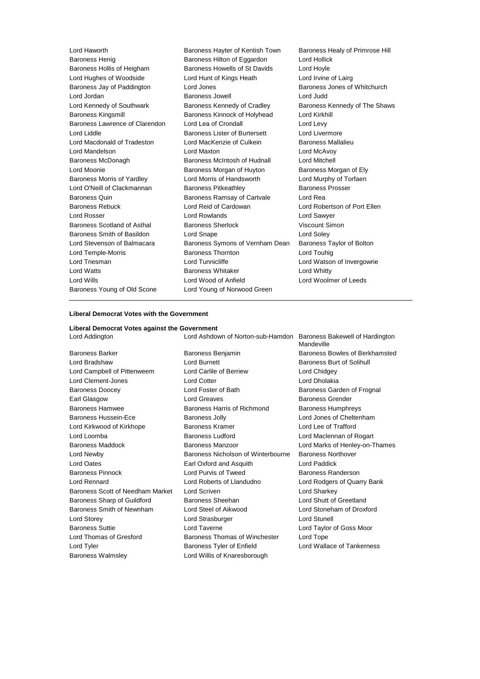| Lord Haworth                      | Baroness Hayter of Kentish Town<br>Baroness Healy of Primrose Hill |                               |
|-----------------------------------|--------------------------------------------------------------------|-------------------------------|
| <b>Baroness Henig</b>             | Lord Hollick<br>Baroness Hilton of Eggardon                        |                               |
| Baroness Hollis of Heigham        | Baroness Howells of St Davids                                      | Lord Hoyle                    |
| Lord Hughes of Woodside           | Lord Hunt of Kings Heath                                           | Lord Irvine of Lairg          |
| Baroness Jay of Paddington        | Lord Jones                                                         | Baroness Jones of Whitchurch  |
| Lord Jordan                       | Baroness Jowell                                                    | Lord Judd                     |
| Lord Kennedy of Southwark         | Baroness Kennedy of Cradley                                        | Baroness Kennedy of The Shaws |
| <b>Baroness Kingsmill</b>         | Baroness Kinnock of Holyhead                                       | Lord Kirkhill                 |
| Baroness Lawrence of Clarendon    | Lord Lea of Crondall                                               | Lord Levy                     |
| Lord Liddle                       | Baroness Lister of Burtersett                                      | Lord Livermore                |
| Lord Macdonald of Tradeston       | Lord MacKenzie of Culkein                                          | Baroness Mallalieu            |
| Lord Mandelson                    | Lord Maxton                                                        | Lord McAvoy                   |
| Baroness McDonagh                 | Baroness McIntosh of Hudnall                                       | Lord Mitchell                 |
| Lord Moonie                       | Baroness Morgan of Huyton                                          | Baroness Morgan of Ely        |
| <b>Baroness Morris of Yardley</b> | Lord Morris of Handsworth                                          | Lord Murphy of Torfaen        |
| Lord O'Neill of Clackmannan       | <b>Baroness Pitkeathley</b>                                        | <b>Baroness Prosser</b>       |
| Baroness Quin                     | <b>Baroness Ramsay of Cartvale</b>                                 | Lord Rea                      |
| <b>Baroness Rebuck</b>            | Lord Reid of Cardowan                                              | Lord Robertson of Port Ellen  |
| Lord Rosser                       | Lord Rowlands                                                      | Lord Sawyer                   |
| Baroness Scotland of Asthal       | <b>Baroness Sherlock</b>                                           | Viscount Simon                |
| Baroness Smith of Basildon        | Lord Snape                                                         | Lord Soley                    |
| Lord Stevenson of Balmacara       | Baroness Symons of Vernham Dean                                    | Baroness Taylor of Bolton     |
| Lord Temple-Morris                | <b>Baroness Thornton</b>                                           | Lord Touhig                   |
| Lord Triesman                     | Lord Tunnicliffe                                                   | Lord Watson of Invergowrie    |
| <b>Lord Watts</b>                 | <b>Baroness Whitaker</b>                                           | Lord Whitty                   |
| Lord Wills                        | Lord Wood of Anfield                                               | Lord Woolmer of Leeds         |
| Baroness Young of Old Scone       | Lord Young of Norwood Green                                        |                               |
|                                   |                                                                    |                               |

### **Liberal Democrat Votes with the Government**

## **Liberal Democrat Votes against the Government**

| Liberal Democrat votes against the Oovernment |                                                                   |                                |
|-----------------------------------------------|-------------------------------------------------------------------|--------------------------------|
| Lord Addington                                | Lord Ashdown of Norton-sub-Hamdon Baroness Bakewell of Hardington | Mandeville                     |
| <b>Baroness Barker</b>                        | Baroness Benjamin                                                 | Baroness Bowles of Berkhamsted |
| Lord Bradshaw                                 | <b>Lord Burnett</b>                                               | Baroness Burt of Solihull      |
| Lord Campbell of Pittenweem                   | Lord Carlile of Berriew                                           | Lord Chidgey                   |
| Lord Clement-Jones                            | <b>Lord Cotter</b>                                                | Lord Dholakia                  |
| <b>Baroness Doocey</b>                        | Lord Foster of Bath                                               | Baroness Garden of Frognal     |
| Earl Glasgow                                  | Lord Greaves                                                      | <b>Baroness Grender</b>        |
| <b>Baroness Hamwee</b>                        | Baroness Harris of Richmond                                       | <b>Baroness Humphreys</b>      |
| Baroness Hussein-Ece                          | <b>Baroness Jolly</b>                                             | Lord Jones of Cheltenham       |
| Lord Kirkwood of Kirkhope                     | <b>Baroness Kramer</b>                                            | Lord Lee of Trafford           |
| Lord Loomba                                   | <b>Baroness Ludford</b>                                           | Lord Maclennan of Rogart       |
| Baroness Maddock                              | Baroness Manzoor                                                  | Lord Marks of Henley-on-Thames |
| Lord Newby                                    | Baroness Nicholson of Winterbourne                                | <b>Baroness Northover</b>      |
| Lord Oates                                    | Earl Oxford and Asquith                                           | Lord Paddick                   |
| <b>Baroness Pinnock</b>                       | Lord Purvis of Tweed                                              | Baroness Randerson             |
| Lord Rennard                                  | Lord Roberts of Llandudno                                         | Lord Rodgers of Quarry Bank    |
| Baroness Scott of Needham Market              | Lord Scriven                                                      | Lord Sharkey                   |
| Baroness Sharp of Guildford                   | Baroness Sheehan                                                  | Lord Shutt of Greetland        |
| Baroness Smith of Newnham                     | Lord Steel of Aikwood                                             | Lord Stoneham of Droxford      |
| Lord Storey                                   | Lord Strasburger                                                  | Lord Stunell                   |
| <b>Baroness Suttie</b>                        | Lord Taverne                                                      | Lord Taylor of Goss Moor       |
| Lord Thomas of Gresford                       | Baroness Thomas of Winchester                                     | Lord Tope                      |
| Lord Tyler                                    | Baroness Tyler of Enfield                                         | Lord Wallace of Tankerness     |
| <b>Baroness Walmsley</b>                      | Lord Willis of Knaresborough                                      |                                |